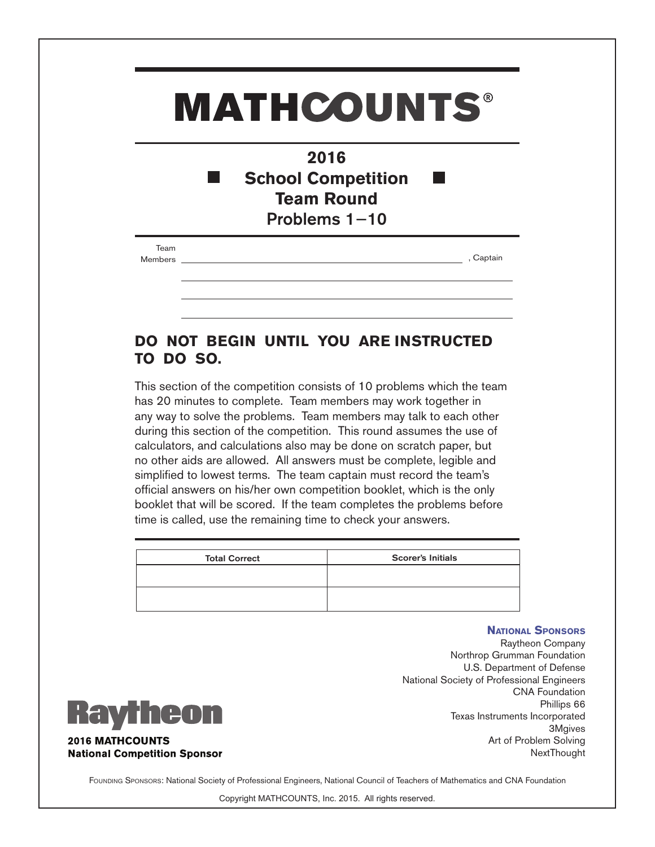## **MATHCOUNTS®**

| 2016                      |
|---------------------------|
| <b>School Competition</b> |
| <b>Team Round</b>         |
| Problems $1-10$           |

| leam    |  |
|---------|--|
| Mamhare |  |

Members , Captain

## **DO NOT BEGIN UNTIL YOU ARE INSTRUCTED TO DO SO.**

This section of the competition consists of 10 problems which the team has 20 minutes to complete. Team members may work together in any way to solve the problems. Team members may talk to each other during this section of the competition. This round assumes the use of calculators, and calculations also may be done on scratch paper, but no other aids are allowed. All answers must be complete, legible and simplified to lowest terms. The team captain must record the team's official answers on his/her own competition booklet, which is the only booklet that will be scored. If the team completes the problems before time is called, use the remaining time to check your answers.

| <b>Total Correct</b> | <b>Scorer's Initials</b> |
|----------------------|--------------------------|
|                      |                          |
|                      |                          |

## **National Sponsors**

Raytheon Company Northrop Grumman Foundation U.S. Department of Defense National Society of Professional Engineers CNA Foundation Phillips 66 Texas Instruments Incorporated 3Mgives Art of Problem Solving **NextThought** 



**2016 MATHCOUNTS National Competition Sponsor** 

FOUNDING SPONSORS: National Society of Professional Engineers, National Council of Teachers of Mathematics and CNA Foundation

Copyright MATHCOUNTS, Inc. 2015. All rights reserved.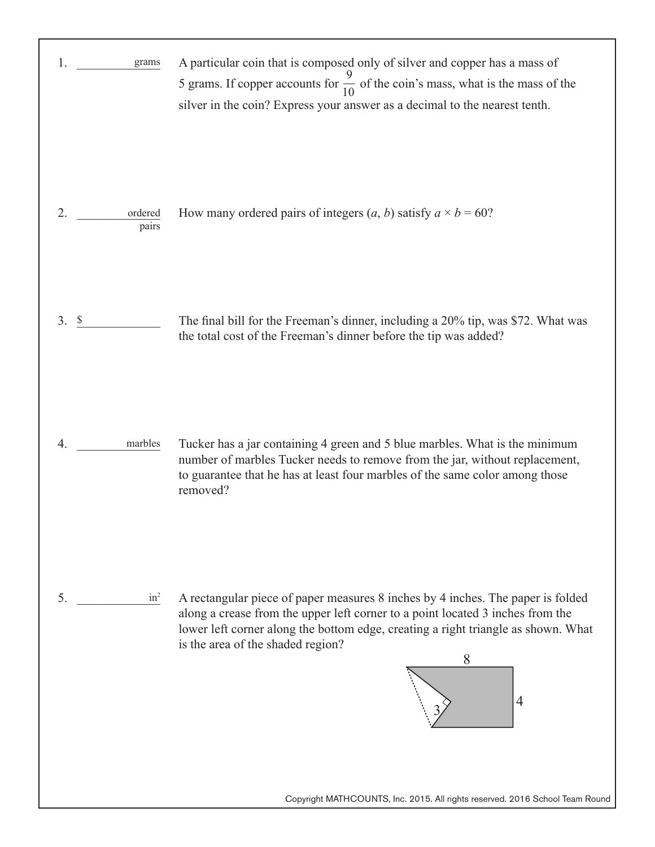| 1.<br>grams            | A particular coin that is composed only of silver and copper has a mass of<br>5 grams. If copper accounts for $\frac{9}{10}$ of the coin's mass, what is the mass of the<br>silver in the coin? Express your answer as a decimal to the nearest tenth.                                                             |
|------------------------|--------------------------------------------------------------------------------------------------------------------------------------------------------------------------------------------------------------------------------------------------------------------------------------------------------------------|
| 2.<br>ordered<br>pairs | How many ordered pairs of integers $(a, b)$ satisfy $a \times b = 60$ ?                                                                                                                                                                                                                                            |
| 3.<br>$\mathcal{S}$    | The final bill for the Freeman's dinner, including a 20% tip, was \$72. What was<br>the total cost of the Freeman's dinner before the tip was added?                                                                                                                                                               |
| marbles<br>4.          | Tucker has a jar containing 4 green and 5 blue marbles. What is the minimum<br>number of marbles Tucker needs to remove from the jar, without replacement,<br>to guarantee that he has at least four marbles of the same color among those<br>removed?                                                             |
| 5.<br>$in^2$           | A rectangular piece of paper measures 8 inches by 4 inches. The paper is folded<br>along a crease from the upper left corner to a point located 3 inches from the<br>lower left corner along the bottom edge, creating a right triangle as shown. What<br>is the area of the shaded region?<br>8<br>$\overline{4}$ |
|                        | Copyright MATHCOUNTS, Inc. 2015. All rights reserved. 2016 School Team Round                                                                                                                                                                                                                                       |